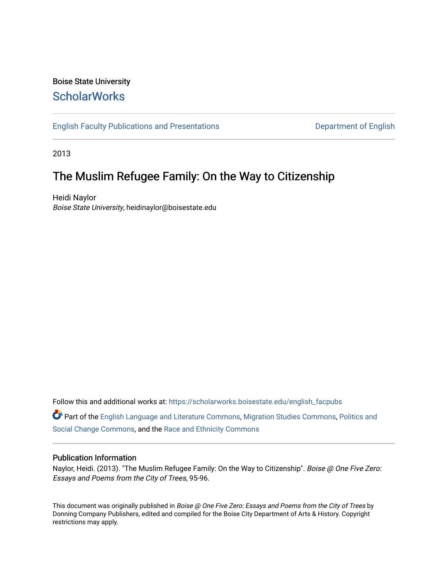## Boise State University **ScholarWorks**

[English Faculty Publications and Presentations](https://scholarworks.boisestate.edu/english_facpubs) **Department of English** 

2013

## The Muslim Refugee Family: On the Way to Citizenship

Heidi Naylor Boise State University, heidinaylor@boisestate.edu

Follow this and additional works at: [https://scholarworks.boisestate.edu/english\\_facpubs](https://scholarworks.boisestate.edu/english_facpubs?utm_source=scholarworks.boisestate.edu%2Fenglish_facpubs%2F335&utm_medium=PDF&utm_campaign=PDFCoverPages) 

Part of the [English Language and Literature Commons](http://network.bepress.com/hgg/discipline/455?utm_source=scholarworks.boisestate.edu%2Fenglish_facpubs%2F335&utm_medium=PDF&utm_campaign=PDFCoverPages), [Migration Studies Commons](http://network.bepress.com/hgg/discipline/1394?utm_source=scholarworks.boisestate.edu%2Fenglish_facpubs%2F335&utm_medium=PDF&utm_campaign=PDFCoverPages), [Politics and](http://network.bepress.com/hgg/discipline/425?utm_source=scholarworks.boisestate.edu%2Fenglish_facpubs%2F335&utm_medium=PDF&utm_campaign=PDFCoverPages)  [Social Change Commons](http://network.bepress.com/hgg/discipline/425?utm_source=scholarworks.boisestate.edu%2Fenglish_facpubs%2F335&utm_medium=PDF&utm_campaign=PDFCoverPages), and the [Race and Ethnicity Commons](http://network.bepress.com/hgg/discipline/426?utm_source=scholarworks.boisestate.edu%2Fenglish_facpubs%2F335&utm_medium=PDF&utm_campaign=PDFCoverPages) 

## Publication Information

Naylor, Heidi. (2013). "The Muslim Refugee Family: On the Way to Citizenship". Boise @ One Five Zero: Essays and Poems from the City of Trees, 95-96.

This document was originally published in Boise @ One Five Zero: Essays and Poems from the City of Trees by Donning Company Publishers, edited and compiled for the Boise City Department of Arts & History. Copyright restrictions may apply.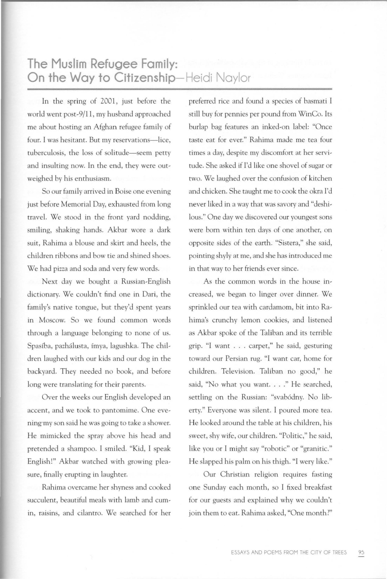## **The Muslim Refugee Family: On the Way to Citizenship-Heidi** Naylor

In the spring of 2001, just before the world went post-9/11 , my husband approached me about hosting an Afghan refugee family of four. I was hesitant. But my reservations-lice, tuberculosis, the loss of solitude-seem petty and insulting now. In the end, they were outweighed by his enthusiasm.

So our family arrived in Boise one evening just before Memorial Day, exhausted from long travel. We stood in the front yard nodding, smiling, shaking hands. Akbar wore a dark suit, Rahima a blouse and skirt and heels, the children ribbons and bow tie and shined shoes. We had pizza and soda and very few words.

Next day we bought a Russian-English dictionary. We couldn't find one in Dari, the family's native tongue, but they'd spent years in Moscow. So we found common words through a language belonging to none of us. Spasiba, pazhalusta, fmya, lagushka. The children laughed with our kids and our dog in the backyard. They needed no book, and before long were translating for their parents.

Over the weeks our English developed an accent, and we took to pantomime. One evening my son said he was going to take a shower. He mimicked the spray above his head and pretended a shampoo. I smiled. "Kid, I speak English!" Akbar watched with growing pleasure, finally erupting in laughter.

Rahima overcame her shyness and cooked succulent, beautiful meals with lamb and cumin, raisins, and cilantro. We searched for her preferred rice and found a species of basmati I still buy for pennies per pound from WinCo. Its burlap bag features an inked-on label: "Once taste eat for ever." Rahima made me tea four times a day, despite my discomfort at her servitude. She asked if I'd like one shovel of sugar or two. We laughed over the confusion of kitchen and chicken. She taught me to cook the okra I'd never liked in a way that was savory and "deshilous." One day we discovered our youngest sons were born within ten days of one another, on opposite sides of the earth. "Sistera," she said, pointing shyly at me, and she has introduced me in that way to her friends ever since.

As the common words in the house increased, we began to linger over dinner. We sprinkled our tea with cardamom, bit into Rahima's crunchy lemon cookies, and listened as Akbar spoke of the Taliban and its terrible grip. "I want ... carpet," he said, gesturing toward our Persian rug. "I want car, home for children. Television. Taliban no good," he said, "No what you want. . . ." He searched, settling on the Russian: "svabódny. No liberty." Everyone was silent. I poured more tea. He looked around the table at his children, his sweet, shy wife, our children. "Politic," he said, like you or I might say "robotic" or "granitic." He slapped his palm on his thigh. "I wery like."

Our Christian religion requires fasting one Sunday each month, so I fixed breakfast for our guests and explained why we couldn't join them to eat. Rahima asked, "One month?"